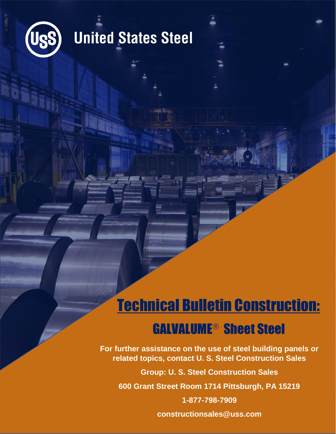

# **United States Steel**

## Technical Bulletin Construction:

## **GALVALUME<sup>®</sup> Sheet Steel**

**For further assistance on the use of steel building panels or related topics, contact U. S. Steel Construction Sales**

**Group: U. S. Steel Construction Sales**

**600 Grant Street Room 1714 Pittsburgh, PA 15219**

**1-877-798-7909**

**constructionsales@uss.com**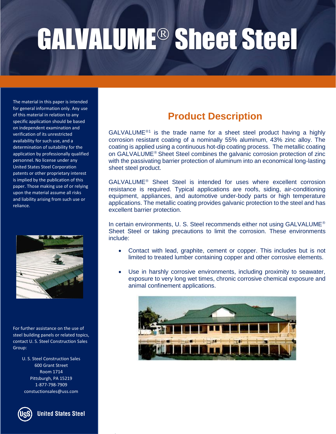The material in this paper is intended for general information only. Any use of this material in relation to any specific application should be based on independent examination and verification of its unrestricted availability for such use, and a determination of suitability for the application by professionally qualified personnel. No license under any United States Steel Corporation patents or other proprietary interest is implied by the publication of this paper. Those making use of or relying upon the material assume all risks and liability arising from such use or reliance.



For further assistance on the use of steel building panels or related topics, contact U. S. Steel Construction Sales Group:

> U. S. Steel Construction Sales 600 Grant Street Room 1714 Pittsburgh, PA 15219 1-877-798-7909 constuctionsales@uss.com

**United States Steel** 

### **Product Description**

 $GALVALUME<sup>®1</sup>$  is the trade name for a sheet steel product having a highly corrosion resistant coating of a nominally 55% aluminum, 43% zinc alloy. The coating is applied using a continuous hot-dip coating process. The metallic coating on GALVALUME<sup>®</sup> Sheet Steel combines the galvanic corrosion protection of zinc with the passivating barrier protection of aluminum into an economical long-lasting sheet steel product.

 $GALVALUME<sup>®</sup>$  Sheet Steel is intended for uses where excellent corrosion resistance is required. Typical applications are roofs, siding, air-conditioning equipment, appliances, and automotive under-body parts or high temperature applications. The metallic coating provides galvanic protection to the steel and has excellent barrier protection.

In certain environments, U. S. Steel recommends either not using GALVALUME<sup>®</sup> Sheet Steel or taking precautions to limit the corrosion. These environments include:

- Contact with lead, graphite, cement or copper. This includes but is not limited to treated lumber containing copper and other corrosive elements.
- Use in harshly corrosive environments, including proximity to seawater, exposure to very long wet times, chronic corrosive chemical exposure and animal confinement applications.

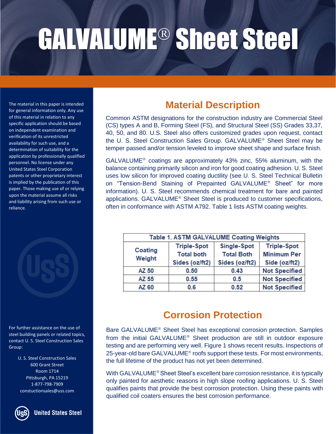of this material in relation to any specific application should be based on independent examination and verification of its unrestricted availability for such use, and a determination of suitability for the application by professionally qualified personnel. No license under any United States Steel Corporation patents or other proprietary interest is implied by the publication of this paper. Those making use of or relying upon the material assume all risks and liability arising from such use or reliance.

For further assistance on the use of steel building panels or related topics, contact U. S. Steel Construction Sales Group:

> U. S. Steel Construction Sales 600 Grant Street Room 1714 Pittsburgh, PA 15219 1-877-798-7909 constuctionsales@uss.com



### The material in this paper is intended **Material Description**<br>for general information only. Any use

Common ASTM designations for the construction industry are Commercial Steel (CS) types A and B, Forming Steel (FS), and Structural Steel (SS) Grades 33,37, 40, 50, and 80. U.S. Steel also offers customized grades upon request, contact the U. S. Steel Construction Sales Group. GALVALUME<sup>®</sup> Sheet Steel may be temper passed and/or tension leveled to improve sheet shape and surface finish.

GALVALUME<sup>®</sup> coatings are approximately 43% zinc, 55% aluminum, with the balance containing primarily silicon and iron for good coating adhesion. U. S. Steel uses low silicon for improved coating ductility (see U. S. Steel Technical Bulletin on "Tension-Bend Staining of Prepainted GALVALUME<sup>®</sup> Sheet" for more information). U. S. Steel recommends chemical treatment for bare and painted applications. GALVALUME<sup>®</sup> Sheet Steel is produced to customer specifications, often in conformance with ASTM A792. Table 1 lists ASTM coating weights.

| Table 1. ASTM GALVALUME Coating Weights |                    |                    |                      |
|-----------------------------------------|--------------------|--------------------|----------------------|
| Coating<br>Weight                       | <b>Triple-Spot</b> | <b>Single-Spot</b> | <b>Triple-Spot</b>   |
|                                         | <b>Total both</b>  | <b>Total Both</b>  | <b>Minimum Per</b>   |
|                                         | Sides (oz/ft2)     | Sides (oz/ft2)     | Side (oz/ft2)        |
| AZ 50                                   | 0.50               | 0.43               | <b>Not Specified</b> |
| AZ 55                                   | 0.55               | 0.5                | <b>Not Specified</b> |
| AZ 60                                   | 0.6                | 0.52               | <b>Not Specified</b> |
|                                         |                    |                    |                      |

### **Corrosion Protection**

Bare GALVALUME<sup>®</sup> Sheet Steel has exceptional corrosion protection. Samples from the initial GALVALUME<sup>®</sup> Sheet production are still in outdoor exposure testing and are performing very well. Figure 1 shows recent results. Inspections of 25-year-old bare GALVALUME<sup>®</sup> roofs support these tests. For most environments, the full lifetime of the product has not yet been determined.

With GALVALUME<sup>®</sup> Sheet Steel's excellent bare corrosion resistance, it is typically only painted for aesthetic reasons in high slope roofing applications. U. S. Steel qualifies paints that provide the best corrosion protection. Using these paints with qualified coil coaters ensures the best corrosion performance.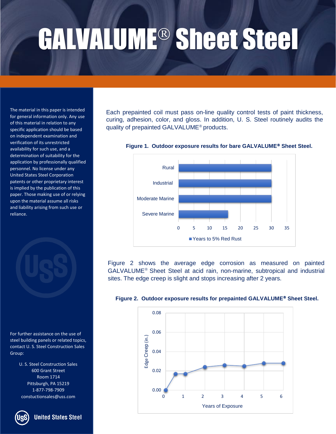The material in this paper is intended for general information only. Any use of this material in relation to any specific application should be based on independent examination and verification of its unrestricted availability for such use, and a determination of suitability for the application by professionally qualified personnel. No license under any United States Steel Corporation patents or other proprietary interest is implied by the publication of this paper. Those making use of or relying upon the material assume all risks and liability arising from such use or reliance.



For further assistance on the use of steel building panels or related topics, contact U. S. Steel Construction Sales Group:

> U. S. Steel Construction Sales 600 Grant Street Room 1714 Pittsburgh, PA 15219 1-877-798-7909 constuctionsales@uss.com

**United States Steel** 

Each prepainted coil must pass on-line quality control tests of paint thickness, curing, adhesion, color, and gloss. In addition, U. S. Steel routinely audits the quality of prepainted GALVALUME<sup>®</sup> products.



Figure 1. Outdoor exposure results for bare GALVALUME<sup>®</sup> Sheet Steel.

Figure 2 shows the average edge corrosion as measured on painted GALVALUME<sup>®</sup> Sheet Steel at acid rain, non-marine, subtropical and industrial sites. The edge creep is slight and stops increasing after 2 years.